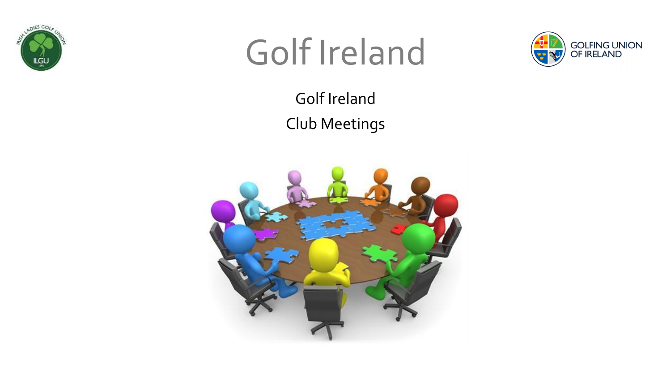



Golf Ireland Club Meetings

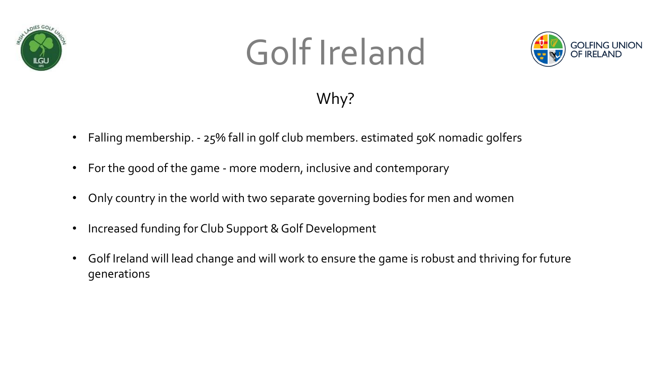



#### Why?

- Falling membership. 25% fall in golf club members. estimated 50K nomadic golfers
- For the good of the game more modern, inclusive and contemporary
- Only country in the world with two separate governing bodies for men and women
- Increased funding for Club Support & Golf Development
- Golf Ireland will lead change and will work to ensure the game is robust and thriving for future generations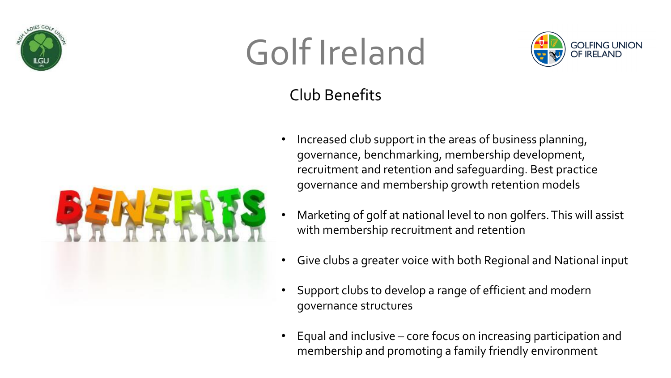



#### Club Benefits

- 
- Increased club support in the areas of business planning, governance, benchmarking, membership development, recruitment and retention and safeguarding. Best practice governance and membership growth retention models
	- Marketing of golf at national level to non golfers. This will assist with membership recruitment and retention
	- Give clubs a greater voice with both Regional and National input
	- Support clubs to develop a range of efficient and modern governance structures
	- Equal and inclusive core focus on increasing participation and membership and promoting a family friendly environment

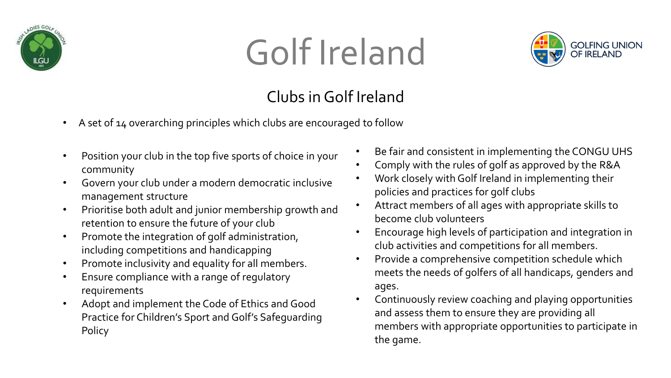



#### Clubs in Golf Ireland

- A set of 14 overarching principles which clubs are encouraged to follow
- Position your club in the top five sports of choice in your community
- Govern your club under a modern democratic inclusive management structure
- Prioritise both adult and junior membership growth and retention to ensure the future of your club
- Promote the integration of golf administration, including competitions and handicapping
- Promote inclusivity and equality for all members.
- Ensure compliance with a range of regulatory requirements
- Adopt and implement the Code of Ethics and Good Practice for Children's Sport and Golf's Safeguarding Policy
- Be fair and consistent in implementing the CONGU UHS
- Comply with the rules of golf as approved by the R&A
- Work closely with Golf Ireland in implementing their policies and practices for golf clubs
- Attract members of all ages with appropriate skills to become club volunteers
- Encourage high levels of participation and integration in club activities and competitions for all members.
- Provide a comprehensive competition schedule which meets the needs of golfers of all handicaps, genders and ages.
- Continuously review coaching and playing opportunities and assess them to ensure they are providing all members with appropriate opportunities to participate in the game.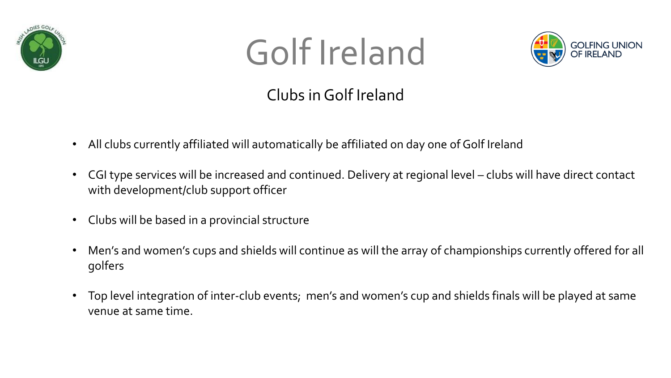



#### Clubs in Golf Ireland

- All clubs currently affiliated will automatically be affiliated on day one of Golf Ireland
- CGI type services will be increased and continued. Delivery at regional level clubs will have direct contact with development/club support officer
- Clubs will be based in a provincial structure
- Men's and women's cups and shields will continue as will the array of championships currently offered for all golfers
- Top level integration of inter-club events; men's and women's cup and shields finals will be played at same venue at same time.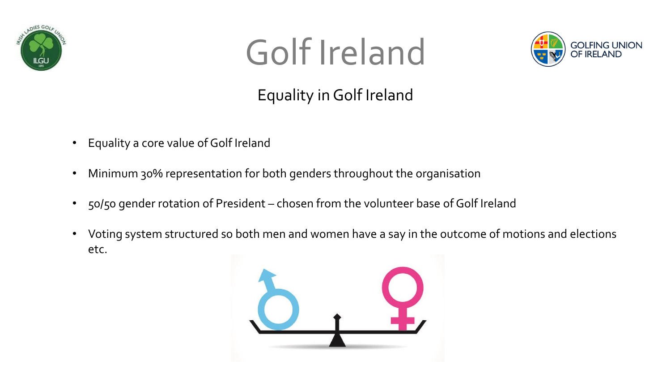



#### Equality in Golf Ireland

- Equality a core value of Golf Ireland
- Minimum 30% representation for both genders throughout the organisation
- 50/50 gender rotation of President chosen from the volunteer base of Golf Ireland
- Voting system structured so both men and women have a say in the outcome of motions and elections etc.

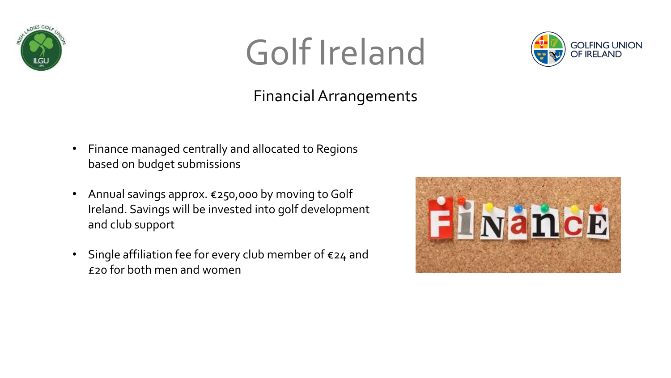



#### Financial Arrangements

- Finance managed centrally and allocated to Regions based on budget submissions
- Annual savings approx. €250,000 by moving to Golf Ireland. Savings will be invested into golf development and club support
- Single affiliation fee for every club member of €24 and £20 for both men and women

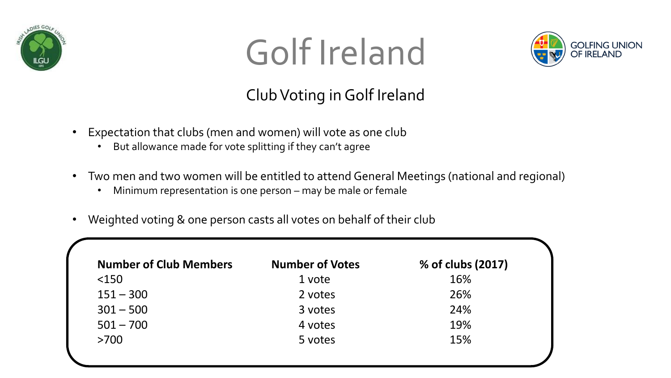



#### Club Voting in Golf Ireland

- Expectation that clubs (men and women) will vote as one club
	- But allowance made for vote splitting if they can't agree
- Two men and two women will be entitled to attend General Meetings (national and regional)
	- Minimum representation is one person may be male or female
- Weighted voting & one person casts all votes on behalf of their club

| <b>Number of Club Members</b> | <b>Number of Votes</b> | % of clubs (2017) |
|-------------------------------|------------------------|-------------------|
| $<$ 150                       | 1 vote                 | 16%               |
| $151 - 300$                   | 2 votes                | 26%               |
| $301 - 500$                   | 3 votes                | 24%               |
| $501 - 700$                   | 4 votes                | 19%               |
| >700                          | 5 votes                | 15%               |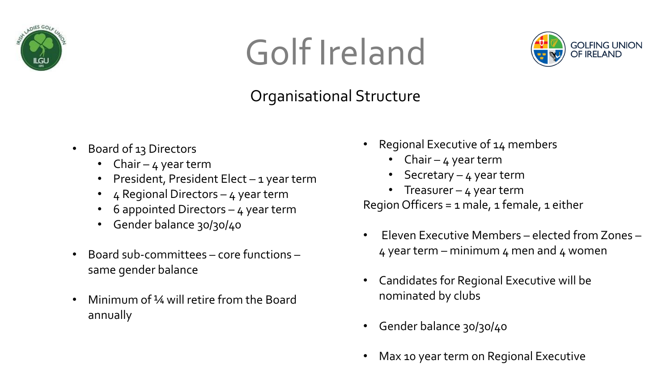



#### Organisational Structure

- Board of 13 Directors
	- Chair  $4$  year term
	- President, President Elect 1 year term
	- 4 Regional Directors 4 year term
	- 6 appointed Directors  $-$  4 year term
	- Gender balance 30/30/40
- Board sub-committees core functions same gender balance
- Minimum of ¼ will retire from the Board annually
- Regional Executive of 14 members
	- Chair  $4$  year term
	- Secretary 4 year term
	- Treasurer 4 year term

Region Officers =  $1$  male,  $1$  female,  $1$  either

- Eleven Executive Members elected from Zones  $4$  year term – minimum  $4$  men and  $4$  women
- Candidates for Regional Executive will be nominated by clubs
- Gender balance 30/30/40
- Max 10 year term on Regional Executive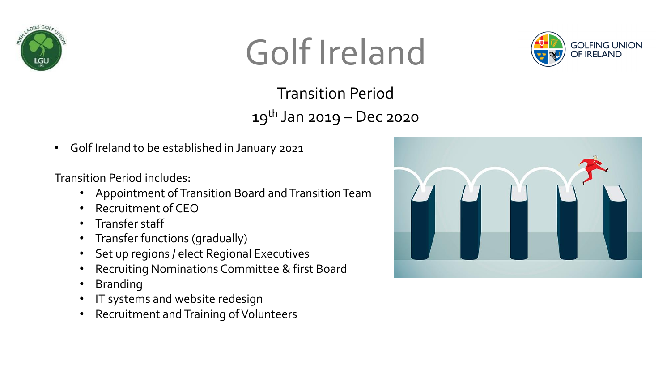



Transition Period  $19^{th}$  Jan 2019 – Dec 2020

• Golf Ireland to be established in January 2021

Transition Period includes:

- Appointment of Transition Board and Transition Team
- Recruitment of CEO
- Transfer staff
- Transfer functions (gradually)
- Set up regions / elect Regional Executives
- Recruiting Nominations Committee & first Board
- **Branding**
- IT systems and website redesign
- Recruitment and Training of Volunteers